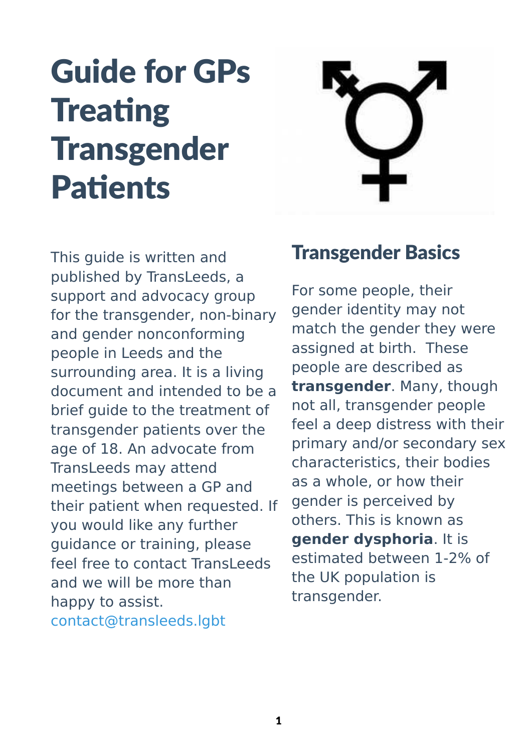# Guide for GPs **Treating Transgender** Patients



This guide is written and published by TransLeeds, a support and advocacy group for the transgender, non-binary and gender nonconforming people in Leeds and the surrounding area. It is a living document and intended to be a brief guide to the treatment of transgender patients over the age of 18. An advocate from TransLeeds may attend meetings between a GP and their patient when requested. If you would like any further guidance or training, please feel free to contact TransLeeds and we will be more than happy to assist. [contact@transleeds.lgbt](mailto:contact@transleeds.lgbt)

### Transgender Basics

For some people, their gender identity may not match the gender they were assigned at birth. These people are described as **transgender**. Many, though not all, transgender people feel a deep distress with their primary and/or secondary sex characteristics, their bodies as a whole, or how their gender is perceived by others. This is known as **gender dysphoria**. It is estimated between 1-2% of the UK population is transgender.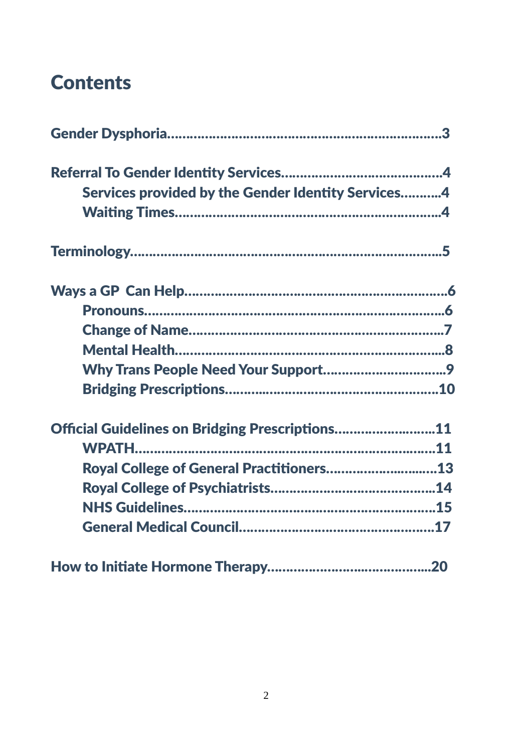### **Contents**

| Services provided by the Gender Identity Services4 |  |
|----------------------------------------------------|--|
|                                                    |  |
|                                                    |  |
|                                                    |  |
|                                                    |  |
|                                                    |  |
|                                                    |  |
|                                                    |  |
|                                                    |  |
| Official Guidelines on Bridging Prescriptions11    |  |
|                                                    |  |
| Royal College of General Practitioners13           |  |
|                                                    |  |
|                                                    |  |
|                                                    |  |
|                                                    |  |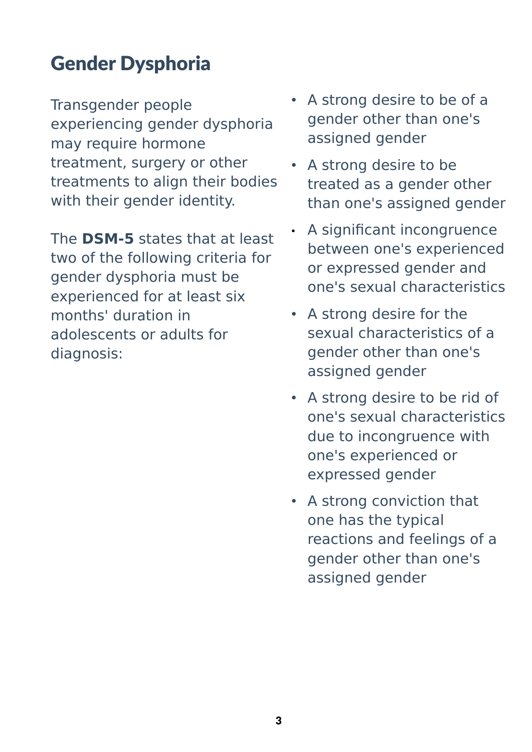# Gender Dysphoria

Transgender people experiencing gender dysphoria may require hormone treatment, surgery or other treatments to align their bodies with their gender identity.

The **DSM-5** states that at least two of the following criteria for gender dysphoria must be experienced for at least six months' duration in adolescents or adults for diagnosis:

- A strong desire to be of a gender other than one's assigned gender
- A strong desire to be treated as a gender other than one's assigned gender
- A significant incongruence between one's experienced or expressed gender and one's [sexual characteristics](https://en.wikipedia.org/wiki/Sexual_characteristics)
- A strong desire for the sexual characteristics of a gender other than one's assigned gender
- A strong desire to be rid of one's sexual characteristics due to incongruence with one's experienced or expressed gender
- A strong conviction that one has the typical reactions and feelings of a gender other than one's assigned gender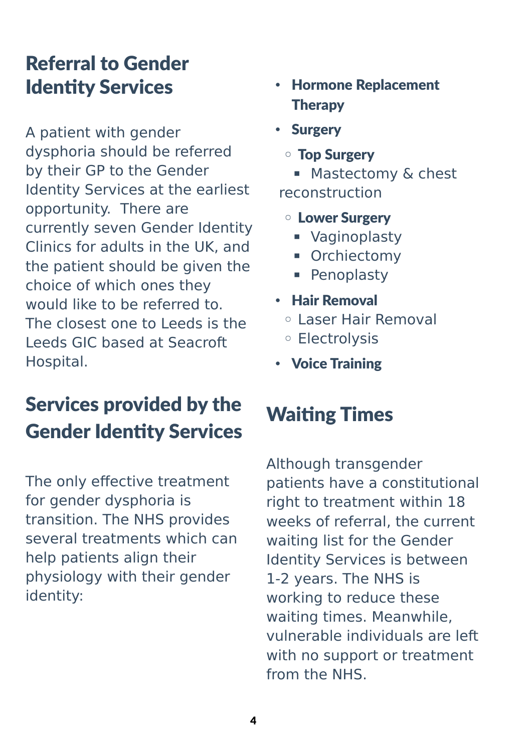### Referral to Gender Identity Services

A patient with gender dysphoria should be referred by their GP to the Gender Identity Services at the earliest opportunity. There are currently seven Gender Identity Clinics for adults in the UK, and the patient should be given the choice of which ones they would like to be referred to. The closest one to Leeds is the Leeds GIC based at Seacroft Hospital.

# Services provided by the Gender Identity Services

The only effective treatment for gender dysphoria is transition. The NHS provides several treatments which can help patients align their physiology with their gender identity:

- Hormone Replacement Therapy
- Surgery
	- Top Surgery

■ Mastectomy & chest reconstruction

- Lower Surgery
	- **■** Vaginoplasty
	- Orchiectomy
	- **Penoplasty**
- Hair Removal
	- Laser Hair Removal
	- Electrolysis
- Voice Training

# Waiting Times

Although transgender patients have a constitutional right to treatment within 18 weeks of referral, the current waiting list for the Gender Identity Services is between 1-2 years. The NHS is working to reduce these waiting times. Meanwhile, vulnerable individuals are left with no support or treatment from the NHS.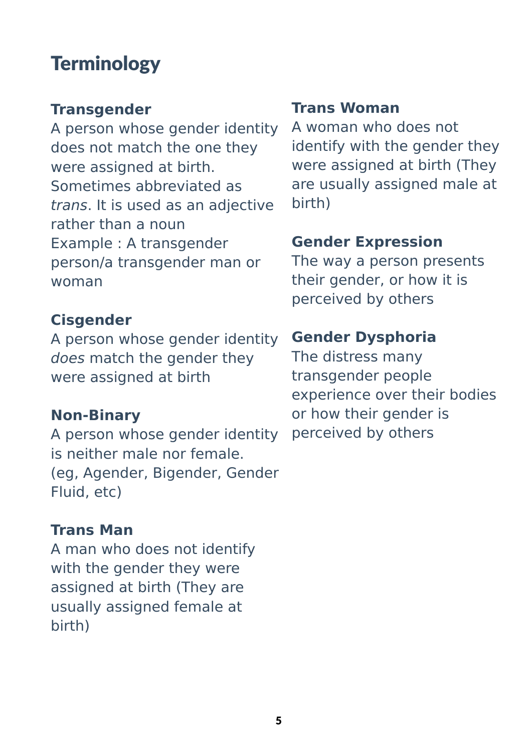### **Terminology**

### **Transgender**

A person whose gender identity does not match the one they were assigned at birth. Sometimes abbreviated as trans. It is used as an adjective rather than a noun Example : A transgender person/a transgender man or woman

#### **Cisgender**

A person whose gender identity does match the gender they were assigned at birth

#### **Non-Binary**

A person whose gender identity is neither male nor female. (eg, Agender, Bigender, Gender Fluid, etc)

#### **Trans Man**

A man who does not identify with the gender they were assigned at birth (They are usually assigned female at birth)

#### **Trans Woman**

A woman who does not identify with the gender they were assigned at birth (They are usually assigned male at birth)

#### **Gender Expression**

The way a person presents their gender, or how it is perceived by others

#### **Gender Dysphoria**

The distress many transgender people experience over their bodies or how their gender is perceived by others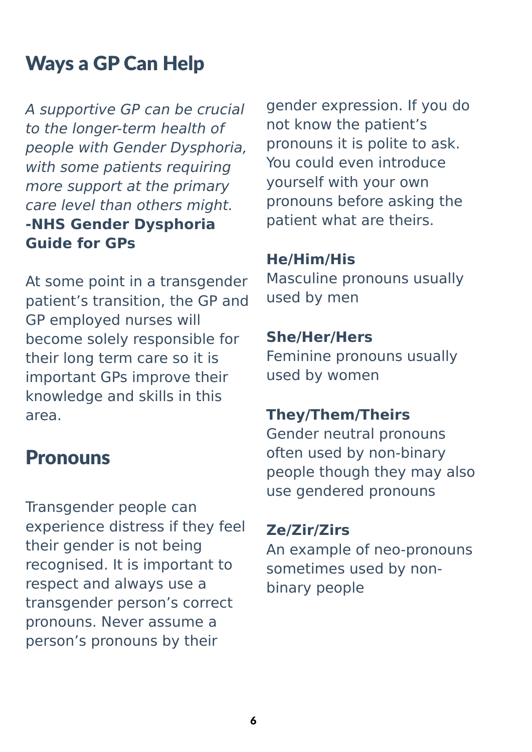# Ways a GP Can Help

A supportive GP can be crucial to the longer-term health of people with Gender Dysphoria, with some patients requiring more support at the primary care level than others might. **-NHS Gender Dysphoria Guide for GPs**

At some point in a transgender patient's transition, the GP and GP employed nurses will become solely responsible for their long term care so it is important GPs improve their knowledge and skills in this area.

### Pronouns

Transgender people can experience distress if they feel their gender is not being recognised. It is important to respect and always use a transgender person's correct pronouns. Never assume a person's pronouns by their

gender expression. If you do not know the patient's pronouns it is polite to ask. You could even introduce yourself with your own pronouns before asking the patient what are theirs.

#### **He/Him/His**

Masculine pronouns usually used by men

#### **She/Her/Hers**

Feminine pronouns usually used by women

#### **They/Them/Theirs**

Gender neutral pronouns often used by non-binary people though they may also use gendered pronouns

#### **Ze/Zir/Zirs**

An example of neo-pronouns sometimes used by nonbinary people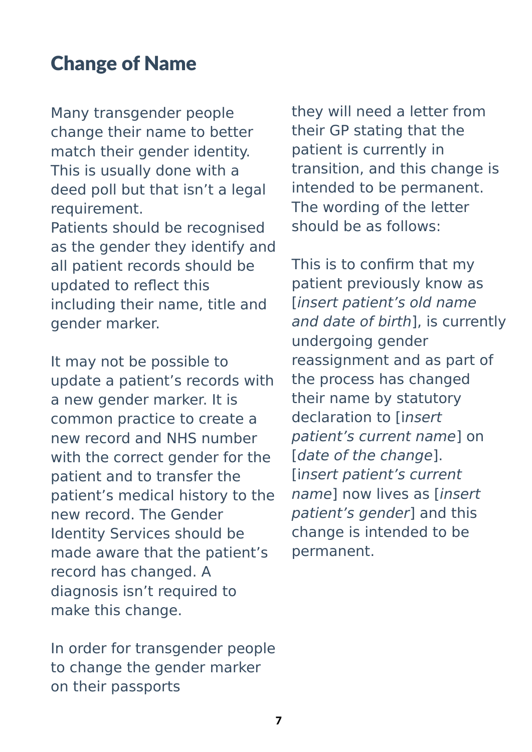# Change of Name

Many transgender people change their name to better match their gender identity. This is usually done with a deed poll but that isn't a legal requirement.

Patients should be recognised as the gender they identify and all patient records should be updated to reflect this including their name, title and gender marker.

It may not be possible to update a patient's records with a new gender marker. It is common practice to create a new record and NHS number with the correct gender for the patient and to transfer the patient's medical history to the new record. The Gender Identity Services should be made aware that the patient's record has changed. A diagnosis isn't required to make this change.

In order for transgender people to change the gender marker on their passports

they will need a letter from their GP stating that the patient is currently in transition, and this change is intended to be permanent. The wording of the letter should be as follows:

This is to confirm that my patient previously know as [insert patient's old name and date of birth], is currently undergoing gender reassignment and as part of the process has changed their name by statutory declaration to linsert patient's current name] on [date of the change]. [insert patient's current name] now lives as [insert patient's gender] and this change is intended to be permanent.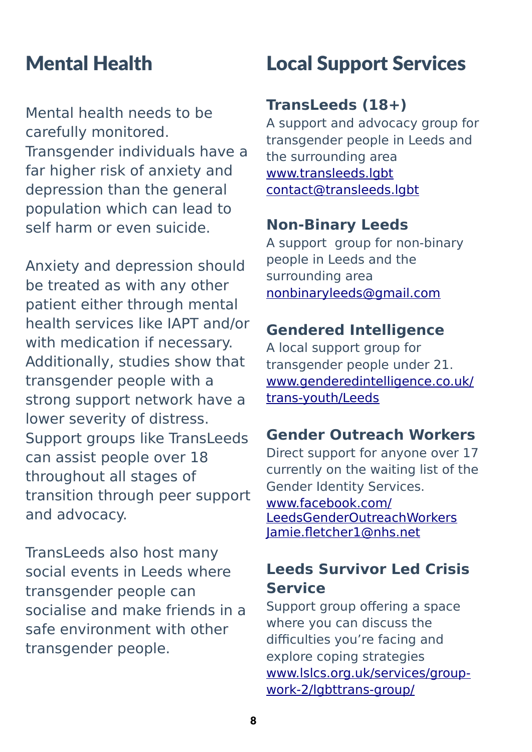### Mental Health

Mental health needs to be carefully monitored. Transgender individuals have a far higher risk of anxiety and depression than the general population which can lead to self harm or even suicide.

Anxiety and depression should be treated as with any other patient either through mental health services like IAPT and/or with medication if necessary. Additionally, studies show that transgender people with a strong support network have a lower severity of distress. Support groups like TransLeeds can assist people over 18 throughout all stages of transition through peer support and advocacy.

TransLeeds also host many social events in Leeds where transgender people can socialise and make friends in a safe environment with other transgender people.

### Local Support Services

#### **TransLeeds (18+)**

A support and advocacy group for transgender people in Leeds and the surrounding area [www.transleeds.lgbt](http://www.transleeds.lgbt/) [contact@transleeds.lgbt](mailto:contact@transleeds.lgbt)

#### **Non-Binary Leeds**

A support group for non-binary people in Leeds and the surrounding area [nonbinaryleeds@gmail.com](mailto:nonbinaryleeds@gmail.com)

#### **Gendered Intelligence**

A local support group for transgender people under 21. [www.genderedintelligence.co.uk/](http://www.genderedintelligence.co.uk/trans-youth/Leeds) [trans-youth/Leeds](http://www.genderedintelligence.co.uk/trans-youth/Leeds)

#### **Gender Outreach Workers**

Direct support for anyone over 17 currently on the waiting list of the Gender Identity Services. [www.facebook.com/](http://www.facebook.com/LeedsGenderOutreachWorkers) [LeedsGenderOutreachWorkers](http://www.facebook.com/LeedsGenderOutreachWorkers) [Jamie.fletcher1@nhs.net](mailto:Jamie.fletcher1@nhs.net)

### **Leeds Survivor Led Crisis Service**

Support group offering a space where you can discuss the difficulties you're facing and explore coping strategies [www.lslcs.org.uk/services/group](http://www.lslcs.org.uk/services/group-work-2/lgbttrans-group/)[work-2/lgbttrans-group/](http://www.lslcs.org.uk/services/group-work-2/lgbttrans-group/)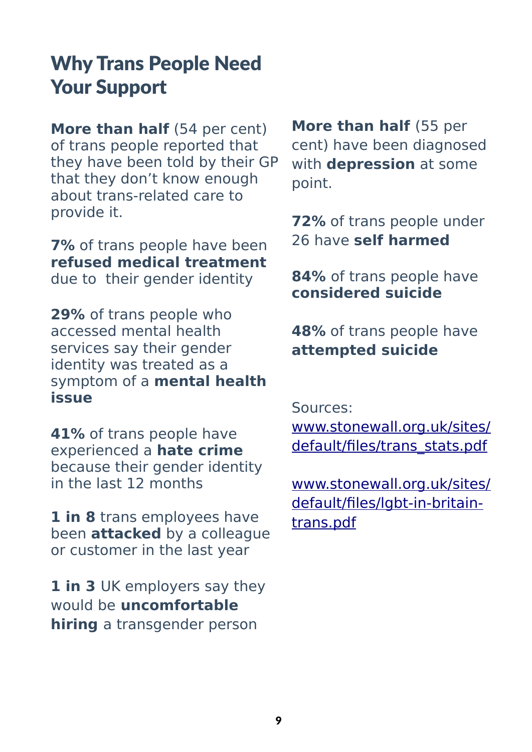### Why Trans People Need Your Support

**More than half** (54 per cent) of trans people reported that they have been told by their GP that they don't know enough about trans-related care to provide it.

**7%** of trans people have been **refused medical treatment** due to their gender identity

**29%** of trans people who accessed mental health services say their gender identity was treated as a symptom of a **mental health issue**

**41%** of trans people have experienced a **hate crime** because their gender identity in the last 12 months

**1 in 8** trans employees have been **attacked** by a colleague or customer in the last year

1 in 3 UK employers say they would be **uncomfortable hiring** a transgender person

**More than half** (55 per cent) have been diagnosed with **depression** at some point.

**72%** of trans people under 26 have **self harmed**

**84%** of trans people have **considered suicide**

**48%** of trans people have **attempted suicide**

Sources:

[www.stonewall.org.uk/sites/](http://www.stonewall.org.uk/sites/default/files/trans_stats.pdf) [default/files/trans\\_stats.pdf](http://www.stonewall.org.uk/sites/default/files/trans_stats.pdf)

[www.stonewall.org.uk/sites/](https://www.stonewall.org.uk/sites/default/files/lgbt-in-britain-trans.pdf) [default/files/lgbt-in-britain](https://www.stonewall.org.uk/sites/default/files/lgbt-in-britain-trans.pdf)[trans.pdf](https://www.stonewall.org.uk/sites/default/files/lgbt-in-britain-trans.pdf)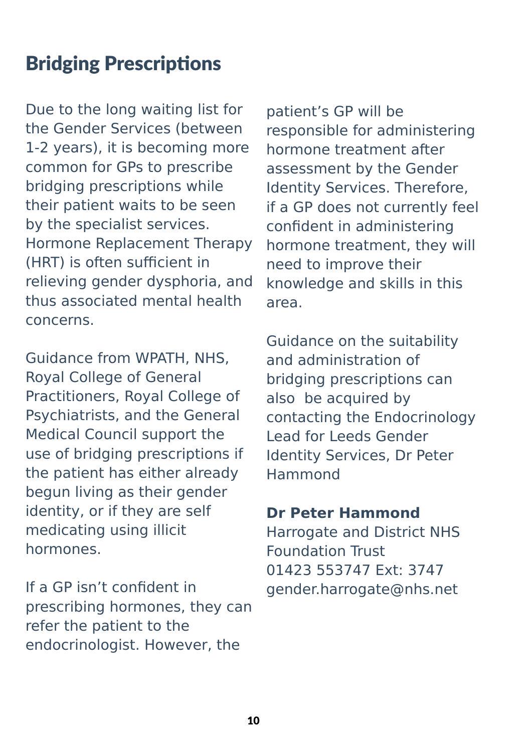# Bridging Prescriptions

Due to the long waiting list for the Gender Services (between 1-2 years), it is becoming more common for GPs to prescribe bridging prescriptions while their patient waits to be seen by the specialist services. Hormone Replacement Therapy (HRT) is often sufficient in relieving gender dysphoria, and thus associated mental health concerns.

Guidance from WPATH, NHS, Royal College of General Practitioners, Royal College of Psychiatrists, and the General Medical Council support the use of bridging prescriptions if the patient has either already begun living as their gender identity, or if they are self medicating using illicit hormones.

If a GP isn't confident in prescribing hormones, they can refer the patient to the endocrinologist. However, the

patient's GP will be responsible for administering hormone treatment after assessment by the Gender Identity Services. Therefore, if a GP does not currently feel confident in administering hormone treatment, they will need to improve their knowledge and skills in this area.

Guidance on the suitability and administration of bridging prescriptions can also be acquired by contacting the Endocrinology Lead for Leeds Gender Identity Services, Dr Peter Hammond

#### **Dr Peter Hammond**

Harrogate and District NHS Foundation Trust 01423 553747 Ext: 3747 gender.harrogate@nhs.net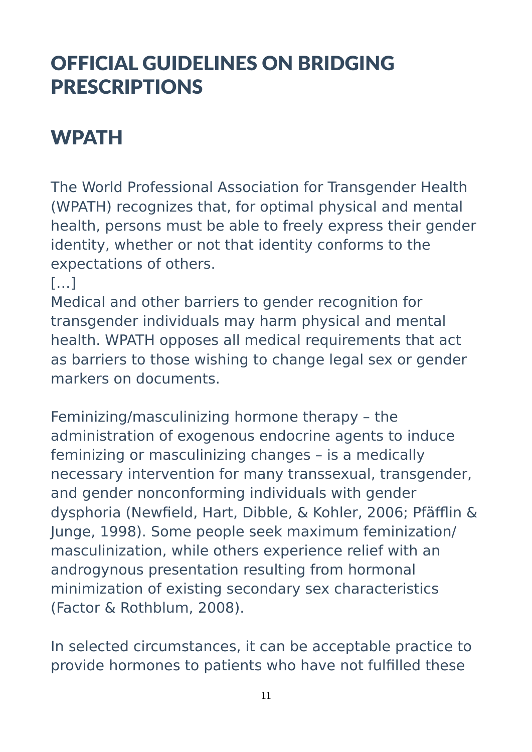# OFFICIAL GUIDELINES ON BRIDGING PRESCRIPTIONS

# WPATH

The World Professional Association for Transgender Health (WPATH) recognizes that, for optimal physical and mental health, persons must be able to freely express their gender identity, whether or not that identity conforms to the expectations of others.

 $[...]$ 

Medical and other barriers to gender recognition for transgender individuals may harm physical and mental health. WPATH opposes all medical requirements that act as barriers to those wishing to change legal sex or gender markers on documents.

Feminizing/masculinizing hormone therapy – the administration of exogenous endocrine agents to induce feminizing or masculinizing changes – is a medically necessary intervention for many transsexual, transgender, and gender nonconforming individuals with gender dysphoria (Newfield, Hart, Dibble, & Kohler, 2006; Pfäfflin & Junge, 1998). Some people seek maximum feminization/ masculinization, while others experience relief with an androgynous presentation resulting from hormonal minimization of existing secondary sex characteristics (Factor & Rothblum, 2008).

In selected circumstances, it can be acceptable practice to provide hormones to patients who have not fulfilled these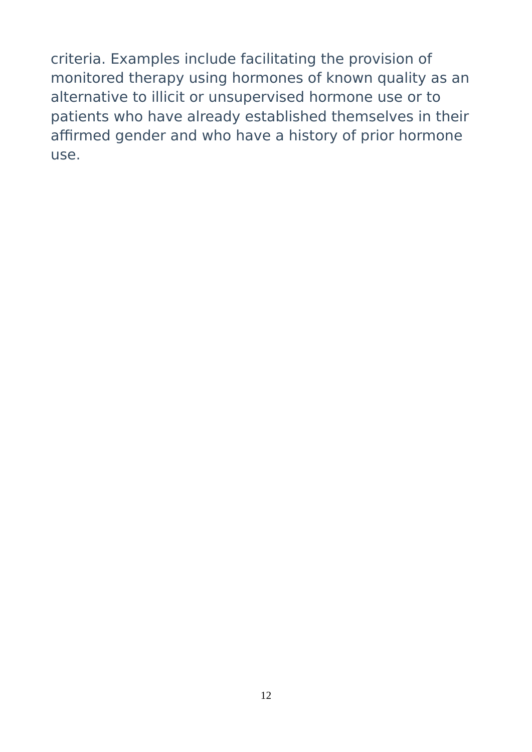criteria. Examples include facilitating the provision of monitored therapy using hormones of known quality as an alternative to illicit or unsupervised hormone use or to patients who have already established themselves in their affirmed gender and who have a history of prior hormone use.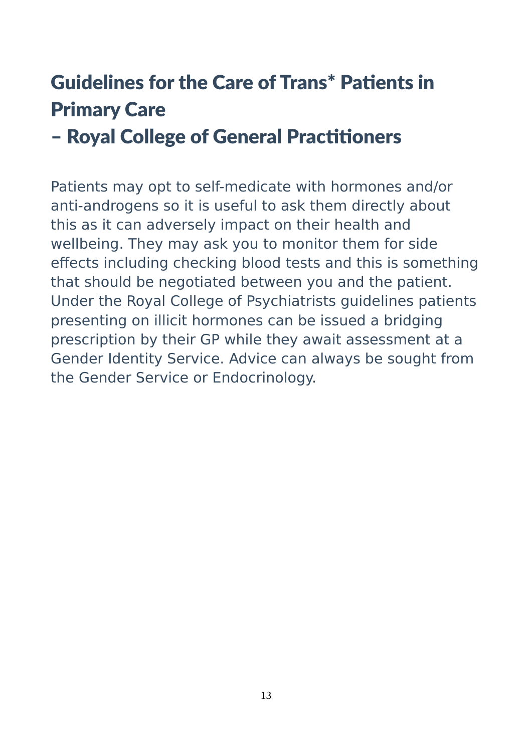# Guidelines for the Care of Trans\* Patients in Primary Care

### – Royal College of General Practitioners

Patients may opt to self-medicate with hormones and/or anti-androgens so it is useful to ask them directly about this as it can adversely impact on their health and wellbeing. They may ask you to monitor them for side effects including checking blood tests and this is something that should be negotiated between you and the patient. Under the Royal College of Psychiatrists guidelines patients presenting on illicit hormones can be issued a bridging prescription by their GP while they await assessment at a Gender Identity Service. Advice can always be sought from the Gender Service or Endocrinology.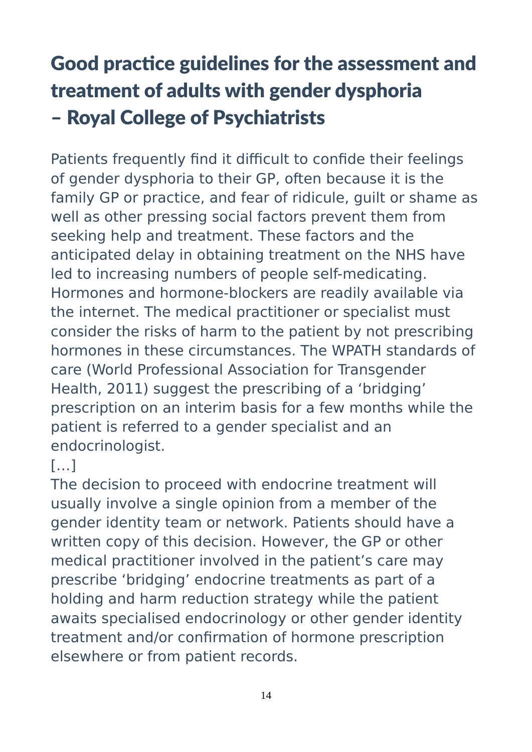# Good practice guidelines for the assessment and treatment of adults with gender dysphoria – Royal College of Psychiatrists

Patients frequently find it difficult to confide their feelings of gender dysphoria to their GP, often because it is the family GP or practice, and fear of ridicule, guilt or shame as well as other pressing social factors prevent them from seeking help and treatment. These factors and the anticipated delay in obtaining treatment on the NHS have led to increasing numbers of people self-medicating. Hormones and hormone-blockers are readily available via the internet. The medical practitioner or specialist must consider the risks of harm to the patient by not prescribing hormones in these circumstances. The WPATH standards of care (World Professional Association for Transgender Health, 2011) suggest the prescribing of a 'bridging' prescription on an interim basis for a few months while the patient is referred to a gender specialist and an endocrinologist.

### $[...]$

The decision to proceed with endocrine treatment will usually involve a single opinion from a member of the gender identity team or network. Patients should have a written copy of this decision. However, the GP or other medical practitioner involved in the patient's care may prescribe 'bridging' endocrine treatments as part of a holding and harm reduction strategy while the patient awaits specialised endocrinology or other gender identity treatment and/or confirmation of hormone prescription elsewhere or from patient records.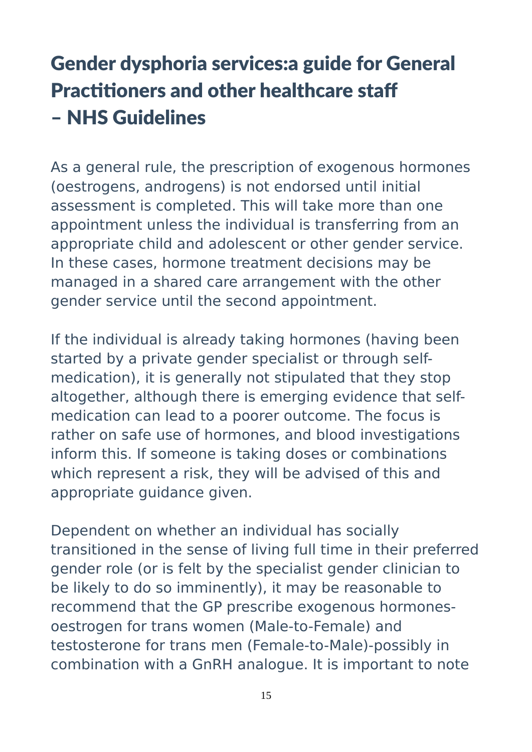# Gender dysphoria services:a guide for General Practitioners and other healthcare staff – NHS Guidelines

As a general rule, the prescription of exogenous hormones (oestrogens, androgens) is not endorsed until initial assessment is completed. This will take more than one appointment unless the individual is transferring from an appropriate child and adolescent or other gender service. In these cases, hormone treatment decisions may be managed in a shared care arrangement with the other gender service until the second appointment.

If the individual is already taking hormones (having been started by a private gender specialist or through selfmedication), it is generally not stipulated that they stop altogether, although there is emerging evidence that selfmedication can lead to a poorer outcome. The focus is rather on safe use of hormones, and blood investigations inform this. If someone is taking doses or combinations which represent a risk, they will be advised of this and appropriate guidance given.

Dependent on whether an individual has socially transitioned in the sense of living full time in their preferred gender role (or is felt by the specialist gender clinician to be likely to do so imminently), it may be reasonable to recommend that the GP prescribe exogenous hormonesoestrogen for trans women (Male-to-Female) and testosterone for trans men (Female-to-Male)-possibly in combination with a GnRH analogue. It is important to note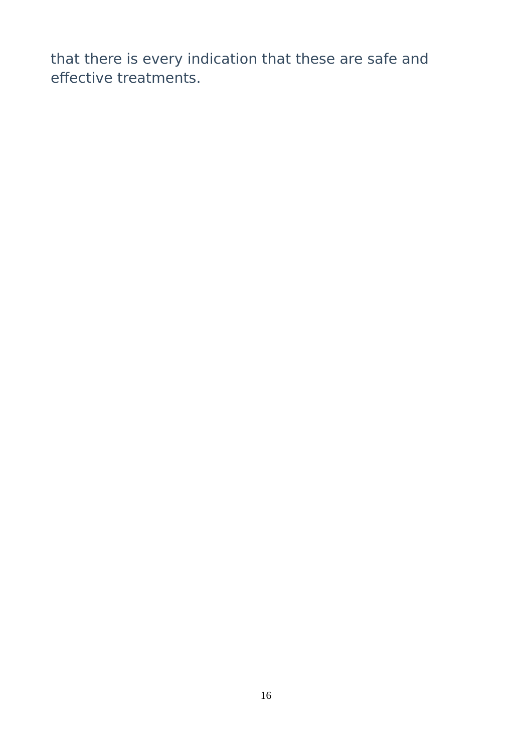that there is every indication that these are safe and effective treatments.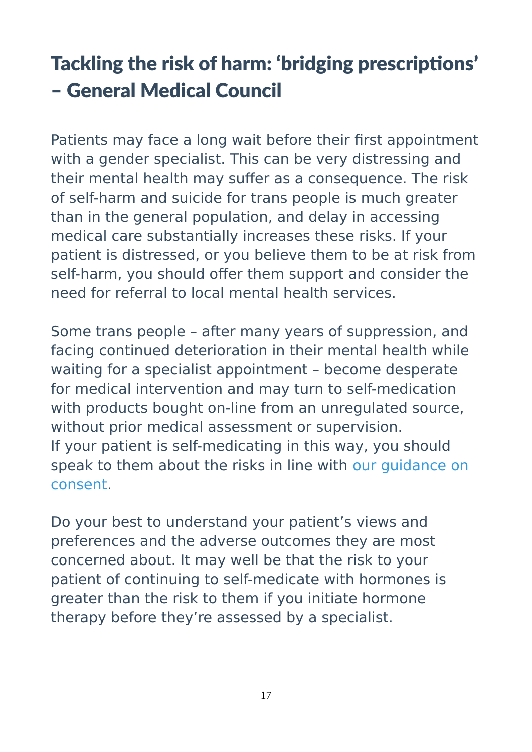# Tackling the risk of harm: 'bridging prescriptions' – General Medical Council

Patients may face a long wait before their first appointment with a gender specialist. This can be very distressing and their mental health may suffer as a consequence. The risk of self-harm and suicide for trans people is much greater than in the general population, and delay in accessing medical care substantially increases these risks. If your patient is distressed, or you believe them to be at risk from self-harm, you should offer them support and consider the need for referral to local mental health services.

Some trans people – after many years of suppression, and facing continued deterioration in their mental health while waiting for a specialist appointment – become desperate for medical intervention and may turn to self-medication with products bought on-line from an unregulated source, without prior medical assessment or supervision. If your patient is self-medicating in this way, you should speak to them about the risks in line with [our guidance on](https://www.gmc-uk.org/guidance/ethical_guidance/consent_guidance_discussing_side_effects_and_complications.asp)  [consent.](https://www.gmc-uk.org/guidance/ethical_guidance/consent_guidance_discussing_side_effects_and_complications.asp)

Do your best to understand your patient's views and preferences and the adverse outcomes they are most concerned about. It may well be that the risk to your patient of continuing to self-medicate with hormones is greater than the risk to them if you initiate hormone therapy before they're assessed by a specialist.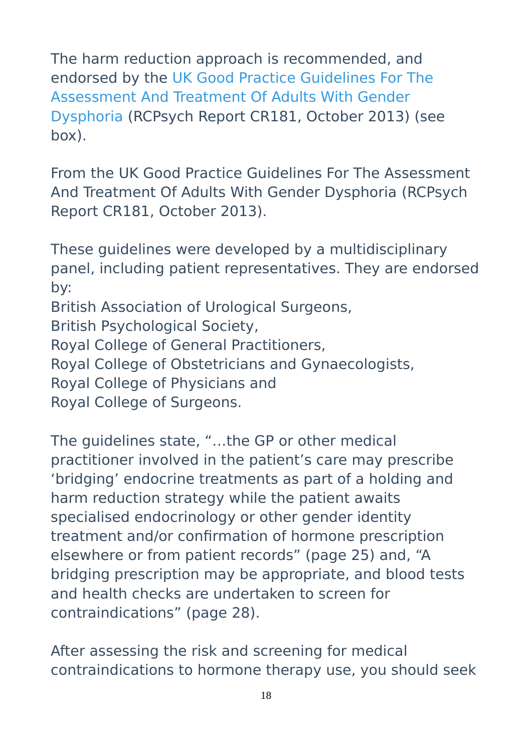The harm reduction approach is recommended, and endorsed by the [UK Good Practice Guidelines For The](http://www.rcpsych.ac.uk/usefulresources/publications/collegereports/cr/cr181.aspx)  [Assessment And Treatment Of Adults With Gender](http://www.rcpsych.ac.uk/usefulresources/publications/collegereports/cr/cr181.aspx)  [Dysphoria](http://www.rcpsych.ac.uk/usefulresources/publications/collegereports/cr/cr181.aspx) (RCPsych Report CR181, October 2013) (see box).

From the UK Good Practice Guidelines For The Assessment And Treatment Of Adults With Gender Dysphoria (RCPsych Report CR181, October 2013).

These guidelines were developed by a multidisciplinary panel, including patient representatives. They are endorsed by:

British Association of Urological Surgeons,

British Psychological Society,

Royal College of General Practitioners,

Royal College of Obstetricians and Gynaecologists,

Royal College of Physicians and

Royal College of Surgeons.

The guidelines state, "…the GP or other medical practitioner involved in the patient's care may prescribe 'bridging' endocrine treatments as part of a holding and harm reduction strategy while the patient awaits specialised endocrinology or other gender identity treatment and/or confirmation of hormone prescription elsewhere or from patient records" (page 25) and, "A bridging prescription may be appropriate, and blood tests and health checks are undertaken to screen for contraindications" (page 28).

After assessing the risk and screening for medical contraindications to hormone therapy use, you should seek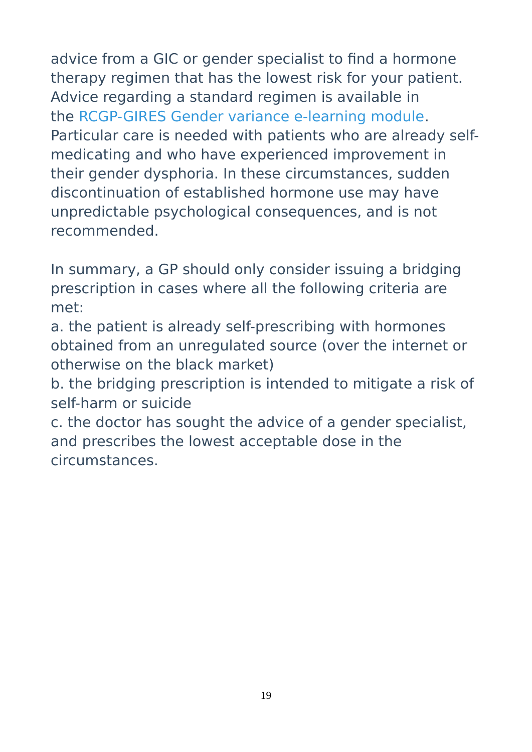advice from a GIC or gender specialist to find a hormone therapy regimen that has the lowest risk for your patient. Advice regarding a standard regimen is available in the [RCGP-GIRES Gender variance e-learning module.](http://elearning.rcgp.org.uk/gendervariance) Particular care is needed with patients who are already selfmedicating and who have experienced improvement in their gender dysphoria. In these circumstances, sudden discontinuation of established hormone use may have unpredictable psychological consequences, and is not recommended.

In summary, a GP should only consider issuing a bridging prescription in cases where all the following criteria are met:

a. the patient is already self-prescribing with hormones obtained from an unregulated source (over the internet or otherwise on the black market)

b. the bridging prescription is intended to mitigate a risk of self-harm or suicide

c. the doctor has sought the advice of a gender specialist, and prescribes the lowest acceptable dose in the circumstances.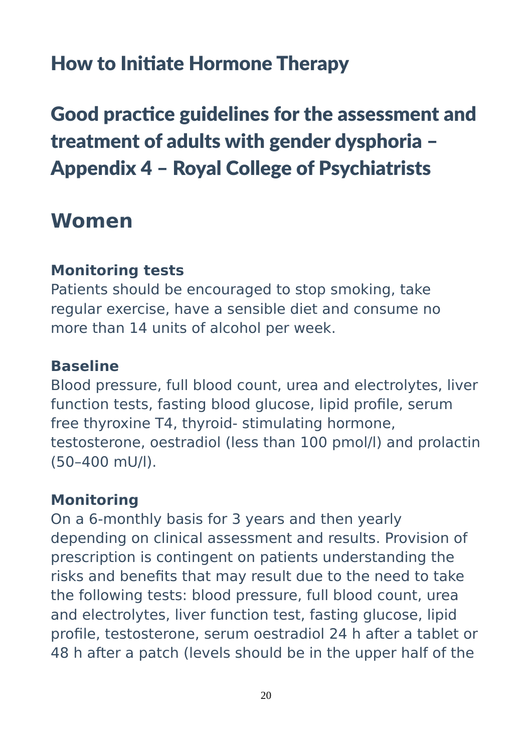### How to Initiate Hormone Therapy

Good practice guidelines for the assessment and treatment of adults with gender dysphoria – Appendix 4 – Royal College of Psychiatrists

### **Women**

#### **Monitoring tests**

Patients should be encouraged to stop smoking, take regular exercise, have a sensible diet and consume no more than 14 units of alcohol per week.

#### **Baseline**

Blood pressure, full blood count, urea and electrolytes, liver function tests, fasting blood glucose, lipid profile, serum free thyroxine T4, thyroid- stimulating hormone, testosterone, oestradiol (less than 100 pmol/l) and prolactin (50–400 mU/l).

#### **Monitoring**

On a 6-monthly basis for 3 years and then yearly depending on clinical assessment and results. Provision of prescription is contingent on patients understanding the risks and benefits that may result due to the need to take the following tests: blood pressure, full blood count, urea and electrolytes, liver function test, fasting glucose, lipid profile, testosterone, serum oestradiol 24 h after a tablet or 48 h after a patch (levels should be in the upper half of the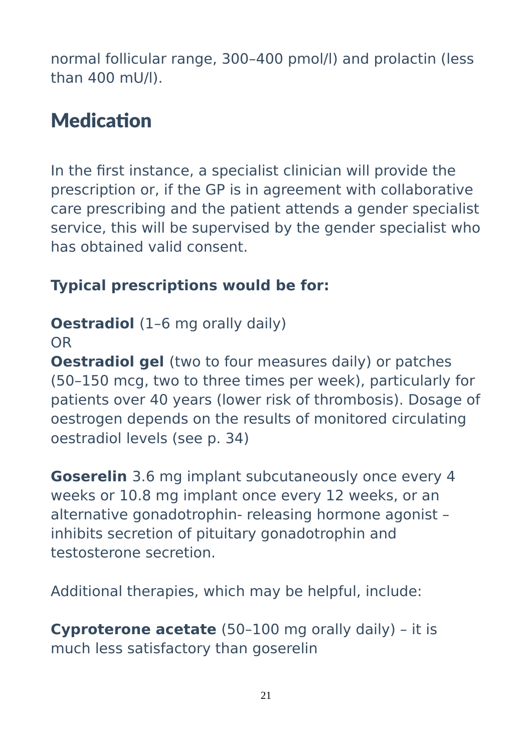normal follicular range, 300–400 pmol/l) and prolactin (less than 400 mU/l).

# **Medication**

In the first instance, a specialist clinician will provide the prescription or, if the GP is in agreement with collaborative care prescribing and the patient attends a gender specialist service, this will be supervised by the gender specialist who has obtained valid consent.

### **Typical prescriptions would be for:**

### **Oestradiol** (1-6 mg orally daily)

OR

**Oestradiol gel** (two to four measures daily) or patches (50–150 mcg, two to three times per week), particularly for patients over 40 years (lower risk of thrombosis). Dosage of oestrogen depends on the results of monitored circulating oestradiol levels (see p. 34)

**Goserelin** 3.6 mg implant subcutaneously once every 4 weeks or 10.8 mg implant once every 12 weeks, or an alternative gonadotrophin- releasing hormone agonist – inhibits secretion of pituitary gonadotrophin and testosterone secretion.

Additional therapies, which may be helpful, include:

**Cyproterone acetate** (50–100 mg orally daily) – it is much less satisfactory than goserelin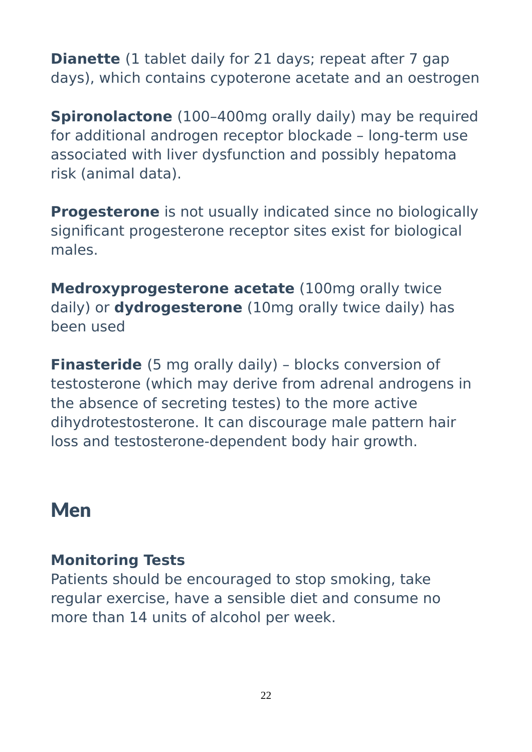**Dianette** (1 tablet daily for 21 days; repeat after 7 gap days), which contains cypoterone acetate and an oestrogen

**Spironolactone** (100-400mg orally daily) may be required for additional androgen receptor blockade – long-term use associated with liver dysfunction and possibly hepatoma risk (animal data).

**Progesterone** is not usually indicated since no biologically significant progesterone receptor sites exist for biological males.

**Medroxyprogesterone acetate** (100mg orally twice daily) or **dydrogesterone** (10mg orally twice daily) has been used

**Finasteride** (5 mg orally daily) - blocks conversion of testosterone (which may derive from adrenal androgens in the absence of secreting testes) to the more active dihydrotestosterone. It can discourage male pattern hair loss and testosterone-dependent body hair growth.

### Men

### **Monitoring Tests**

Patients should be encouraged to stop smoking, take regular exercise, have a sensible diet and consume no more than 14 units of alcohol per week.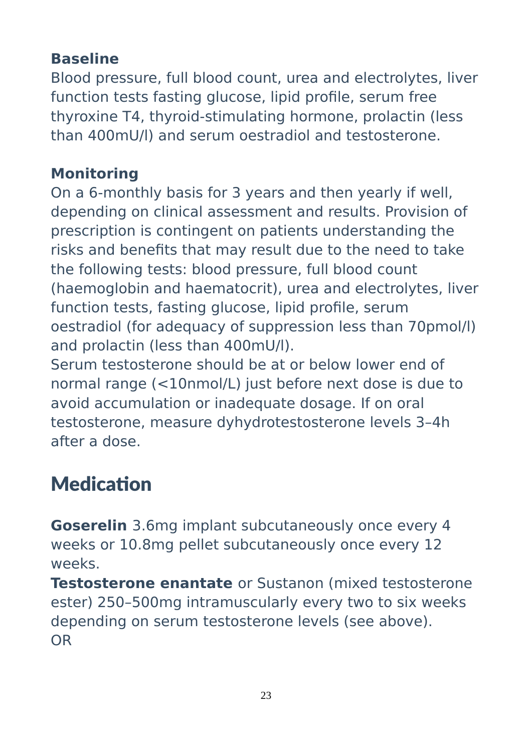### **Baseline**

Blood pressure, full blood count, urea and electrolytes, liver function tests fasting glucose, lipid profile, serum free thyroxine T4, thyroid-stimulating hormone, prolactin (less than 400mU/l) and serum oestradiol and testosterone.

### **Monitoring**

On a 6-monthly basis for 3 years and then yearly if well, depending on clinical assessment and results. Provision of prescription is contingent on patients understanding the risks and benefits that may result due to the need to take the following tests: blood pressure, full blood count (haemoglobin and haematocrit), urea and electrolytes, liver function tests, fasting glucose, lipid profile, serum oestradiol (for adequacy of suppression less than 70pmol/l) and prolactin (less than 400mU/l).

Serum testosterone should be at or below lower end of normal range (<10nmol/L) just before next dose is due to avoid accumulation or inadequate dosage. If on oral testosterone, measure dyhydrotestosterone levels 3–4h after a dose.

# **Medication**

**Goserelin** 3.6mg implant subcutaneously once every 4 weeks or 10.8mg pellet subcutaneously once every 12 weeks.

**Testosterone enantate** or Sustanon (mixed testosterone ester) 250–500mg intramuscularly every two to six weeks depending on serum testosterone levels (see above). OR